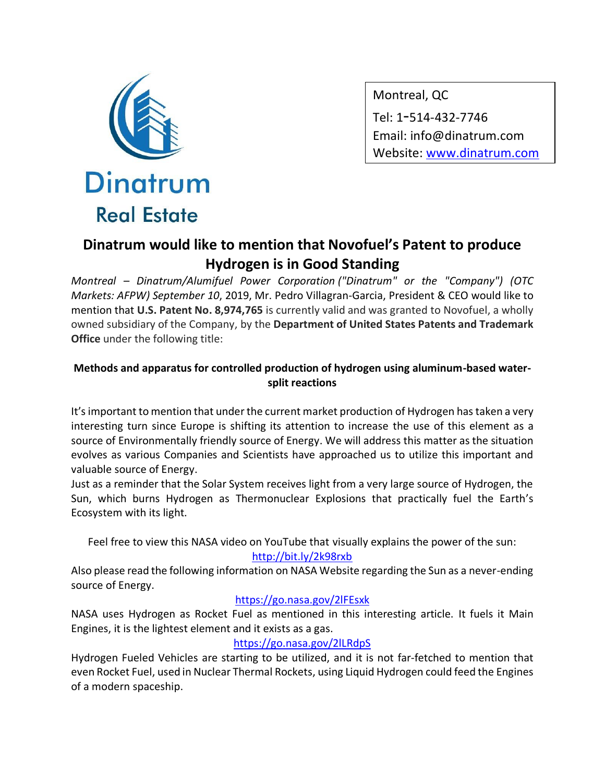

Montreal, QC Tel: 1-514-432-7746 Email: info@dinatrum.com Website: www.dinatrum.com

# **Dinatrum would like to mention that Novofuel's Patent to produce Hydrogen is in Good Standing**

*Montreal – Dinatrum/Alumifuel Power Corporation ("Dinatrum" or the "Company") (OTC Markets: AFPW) September 10*, 2019, Mr. Pedro Villagran-Garcia, President & CEO would like to mention that **U.S. Patent No. 8,974,765** is currently valid and was granted to Novofuel, a wholly owned subsidiary of the Company, by the **Department of United States Patents and Trademark Office** under the following title:

## **Methods and apparatus for controlled production of hydrogen using aluminum-based watersplit reactions**

It's important to mention that under the current market production of Hydrogen has taken a very interesting turn since Europe is shifting its attention to increase the use of this element as a source of Environmentally friendly source of Energy. We will address this matter as the situation evolves as various Companies and Scientists have approached us to utilize this important and valuable source of Energy.

Just as a reminder that the Solar System receives light from a very large source of Hydrogen, the Sun, which burns Hydrogen as Thermonuclear Explosions that practically fuel the Earth's Ecosystem with its light.

Feel free to view this NASA video on YouTube that visually explains the power of the sun: <http://bit.ly/2k98rxb>

Also please read the following information on NASA Website regarding the Sun as a never-ending source of Energy.

### <https://go.nasa.gov/2lFEsxk>

NASA uses Hydrogen as Rocket Fuel as mentioned in this interesting article. It fuels it Main Engines, it is the lightest element and it exists as a gas.

### <https://go.nasa.gov/2lLRdpS>

Hydrogen Fueled Vehicles are starting to be utilized, and it is not far-fetched to mention that even Rocket Fuel, used in Nuclear Thermal Rockets, using Liquid Hydrogen could feed the Engines of a modern spaceship.